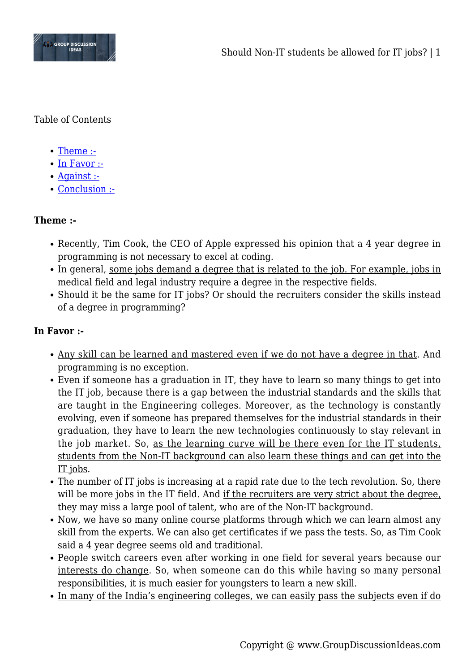

Table of Contents

- [Theme :-](#page--1-0)
- [In Favor :-](#page--1-0)
- [Against :-](#page--1-0)
- [Conclusion :-](#page--1-0)

# **Theme :-**

- Recently, Tim Cook, the CEO of Apple expressed his opinion that a 4 year degree in programming is not necessary to excel at coding.
- In general, some jobs demand a degree that is related to the job. For example, jobs in medical field and legal industry require a degree in the respective fields.
- Should it be the same for IT jobs? Or should the recruiters consider the skills instead of a degree in programming?

# **In Favor :-**

- Any skill can be learned and mastered even if we do not have a degree in that. And programming is no exception.
- Even if someone has a graduation in IT, they have to learn so many things to get into the IT job, because there is a gap between the industrial standards and the skills that are taught in the Engineering colleges. Moreover, as the technology is constantly evolving, even if someone has prepared themselves for the industrial standards in their graduation, they have to learn the new technologies continuously to stay relevant in the job market. So, as the learning curve will be there even for the IT students, students from the Non-IT background can also learn these things and can get into the IT jobs.
- The number of IT jobs is increasing at a rapid rate due to the tech revolution. So, there will be more jobs in the IT field. And if the recruiters are very strict about the degree, they may miss a large pool of talent, who are of the Non-IT background.
- Now, we have so many online course platforms through which we can learn almost any skill from the experts. We can also get certificates if we pass the tests. So, as Tim Cook said a 4 year degree seems old and traditional.
- People switch careers even after working in one field for several years because our interests do change. So, when someone can do this while having so many personal responsibilities, it is much easier for youngsters to learn a new skill.
- In many of the India's engineering colleges, we can easily pass the subjects even if do